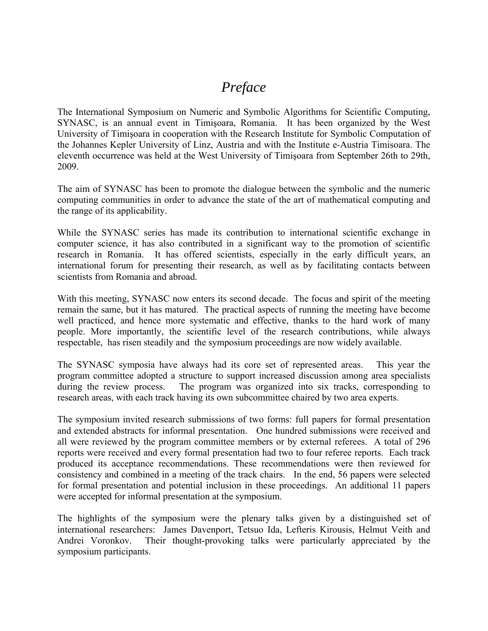# *Preface*

The International Symposium on Numeric and Symbolic Algorithms for Scientific Computing, SYNASC, is an annual event in Timişoara, Romania. It has been organized by the West University of Timişoara in cooperation with the Research Institute for Symbolic Computation of the Johannes Kepler University of Linz, Austria and with the Institute e-Austria Timisoara. The eleventh occurrence was held at the West University of Timişoara from September 26th to 29th, 2009.

The aim of SYNASC has been to promote the dialogue between the symbolic and the numeric computing communities in order to advance the state of the art of mathematical computing and the range of its applicability.

While the SYNASC series has made its contribution to international scientific exchange in computer science, it has also contributed in a significant way to the promotion of scientific research in Romania. It has offered scientists, especially in the early difficult years, an international forum for presenting their research, as well as by facilitating contacts between scientists from Romania and abroad.

With this meeting, SYNASC now enters its second decade. The focus and spirit of the meeting remain the same, but it has matured. The practical aspects of running the meeting have become well practiced, and hence more systematic and effective, thanks to the hard work of many people. More importantly, the scientific level of the research contributions, while always respectable, has risen steadily and the symposium proceedings are now widely available.

The SYNASC symposia have always had its core set of represented areas. This year the program committee adopted a structure to support increased discussion among area specialists during the review process. The program was organized into six tracks, corresponding to research areas, with each track having its own subcommittee chaired by two area experts.

The symposium invited research submissions of two forms: full papers for formal presentation and extended abstracts for informal presentation. One hundred submissions were received and all were reviewed by the program committee members or by external referees. A total of 296 reports were received and every formal presentation had two to four referee reports. Each track produced its acceptance recommendations. These recommendations were then reviewed for consistency and combined in a meeting of the track chairs. In the end, 56 papers were selected for formal presentation and potential inclusion in these proceedings. An additional 11 papers were accepted for informal presentation at the symposium.

The highlights of the symposium were the plenary talks given by a distinguished set of international researchers: James Davenport, Tetsuo Ida, Lefteris Kirousis, Helmut Veith and Andrei Voronkov. Their thought-provoking talks were particularly appreciated by the symposium participants.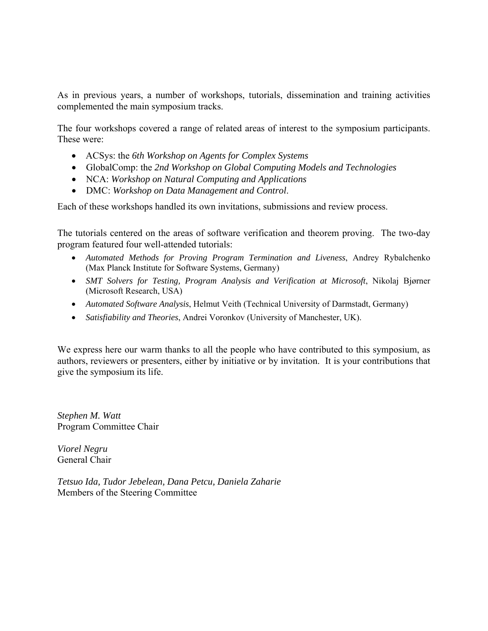As in previous years, a number of workshops, tutorials, dissemination and training activities complemented the main symposium tracks.

The four workshops covered a range of related areas of interest to the symposium participants. These were:

- ACSys: the *6th Workshop on Agents for Complex Systems*
- GlobalComp: the *2nd Workshop on Global Computing Models and Technologies*
- NCA: *Workshop on Natural Computing and Applications*
- DMC: *Workshop on Data Management and Control*.

Each of these workshops handled its own invitations, submissions and review process.

The tutorials centered on the areas of software verification and theorem proving. The two-day program featured four well-attended tutorials:

- *Automated Methods for Proving Program Termination and Liveness*, Andrey Rybalchenko (Max Planck Institute for Software Systems, Germany)
- *SMT Solvers for Testing, Program Analysis and Verification at Microsoft, Nikolaj Bjørner* (Microsoft Research, USA)
- *Automated Software Analysis*, Helmut Veith (Technical University of Darmstadt, Germany)
- *Satisfiability and Theories*, Andrei Voronkov (University of Manchester, UK).

We express here our warm thanks to all the people who have contributed to this symposium, as authors, reviewers or presenters, either by initiative or by invitation. It is your contributions that give the symposium its life.

*Stephen M. Watt*  Program Committee Chair

*Viorel Negru*  General Chair

*Tetsuo Ida, Tudor Jebelean, Dana Petcu, Daniela Zaharie*  Members of the Steering Committee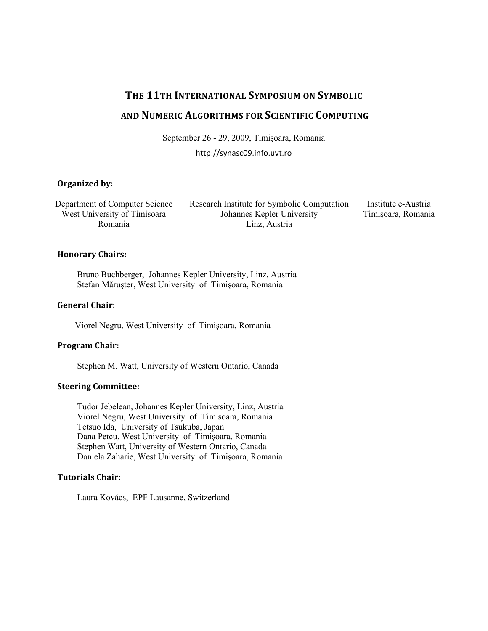# **THE 11TH INTERNATIONAL SYMPOSIUM ON SYMBOLIC**

# **AND NUMERIC ALGORITHMS FOR SCIENTIFIC COMPUTING**

September 26 - 29, 2009, Timişoara, Romania

http://synasc09.info.uvt.ro

#### **Organized by:**

Department of Computer Science West University of Timisoara Romania

Research Institute for Symbolic Computation Johannes Kepler University Linz, Austria

Institute e-Austria Timişoara, Romania

## **Honorary Chairs:**

 Bruno Buchberger, Johannes Kepler University, Linz, Austria Stefan Măruşter, West University of Timişoara, Romania

## **General Chair:**

Viorel Negru, West University of Timişoara, Romania

#### **Program Chair:**

Stephen M. Watt, University of Western Ontario, Canada

## **Steering Committee:**

 Tudor Jebelean, Johannes Kepler University, Linz, Austria Viorel Negru, West University of Timişoara, Romania Tetsuo Ida, University of Tsukuba, Japan Dana Petcu, West University of Timişoara, Romania Stephen Watt, University of Western Ontario, Canada Daniela Zaharie, West University of Timişoara, Romania

## **Tutorials Chair:**

Laura Kovács, EPF Lausanne, Switzerland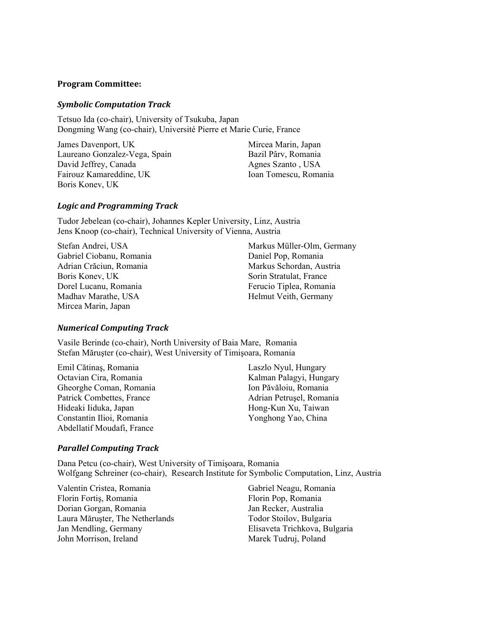#### **Program Committee:**

#### *Symbolic Computation Track*

Tetsuo Ida (co-chair), University of Tsukuba, Japan Dongming Wang (co-chair), Université Pierre et Marie Curie, France

James Davenport, UK Laureano Gonzalez-Vega, Spain David Jeffrey, Canada Fairouz Kamareddine, UK Boris Konev, UK

Mircea Marin, Japan Bazil Pârv, Romania Agnes Szanto , USA Ioan Tomescu, Romania

#### *Logic and Programming Track*

Tudor Jebelean (co-chair), Johannes Kepler University, Linz, Austria Jens Knoop (co-chair), Technical University of Vienna, Austria

Stefan Andrei, USA Gabriel Ciobanu, Romania Adrian Crăciun, Romania Boris Konev, UK Dorel Lucanu, Romania Madhav Marathe, USA Mircea Marin, Japan

Markus Müller-Olm, Germany Daniel Pop, Romania Markus Schordan, Austria Sorin Stratulat, France Ferucio Tiplea, Romania Helmut Veith, Germany

#### *Numerical Computing Track*

Vasile Berinde (co-chair), North University of Baia Mare, Romania Stefan Măruşter (co-chair), West University of Timişoara, Romania

Emil Cătinaş, Romania Octavian Cira, Romania Gheorghe Coman, Romania Patrick Combettes, France Hideaki Iiduka, Japan Constantin Ilioi, Romania Abdellatif Moudafi, France

Laszlo Nyul, Hungary Kalman Palagyi, Hungary Ion Păvăloiu, Romania Adrian Petruşel, Romania Hong-Kun Xu, Taiwan Yonghong Yao, China

#### *Parallel Computing Track*

Dana Petcu (co-chair), West University of Timişoara, Romania Wolfgang Schreiner (co-chair), Research Institute for Symbolic Computation, Linz, Austria

Valentin Cristea, Romania Florin Fortiş, Romania Dorian Gorgan, Romania Laura Măruşter, The Netherlands Jan Mendling, Germany John Morrison, Ireland

Gabriel Neagu, Romania Florin Pop, Romania Jan Recker, Australia Todor Stoilov, Bulgaria Elisaveta Trichkova, Bulgaria Marek Tudruj, Poland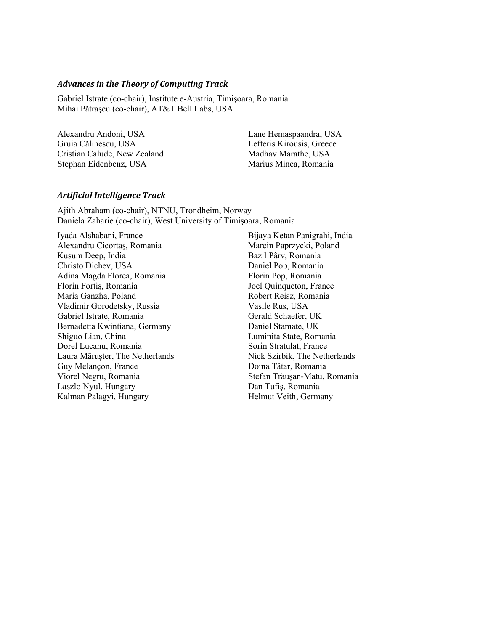#### *Advances in the Theory of Computing Track*

Gabriel Istrate (co-chair), Institute e-Austria, Timişoara, Romania Mihai Pătraşcu (co-chair), AT&T Bell Labs, USA

Alexandru Andoni, USA Gruia Călinescu, USA Cristian Calude, New Zealand Stephan Eidenbenz, USA

Lane Hemaspaandra, USA Lefteris Kirousis, Greece Madhav Marathe, USA Marius Minea, Romania

#### *Artificial Intelligence Track*

Ajith Abraham (co-chair), NTNU, Trondheim, Norway Daniela Zaharie (co-chair), West University of Timişoara, Romania

Iyada Alshabani, France Alexandru Cicortaş, Romania Kusum Deep, India Christo Dichev, USA Adina Magda Florea, Romania Florin Fortiş, Romania Maria Ganzha, Poland Vladimir Gorodetsky, Russia Gabriel Istrate, Romania Bernadetta Kwintiana, Germany Shiguo Lian, China Dorel Lucanu, Romania Laura Măruşter, The Netherlands Guy Melançon, France Viorel Negru, Romania Laszlo Nyul, Hungary Kalman Palagyi, Hungary

Bijaya Ketan Panigrahi, India Marcin Paprzycki, Poland Bazil Pârv, Romania Daniel Pop, Romania Florin Pop, Romania Joel Quinqueton, France Robert Reisz, Romania Vasile Rus, USA Gerald Schaefer, UK Daniel Stamate, UK Luminita State, Romania Sorin Stratulat, France Nick Szirbik, The Netherlands Doina Tătar, Romania Stefan Trăuşan-Matu, Romania Dan Tufiş, Romania Helmut Veith, Germany